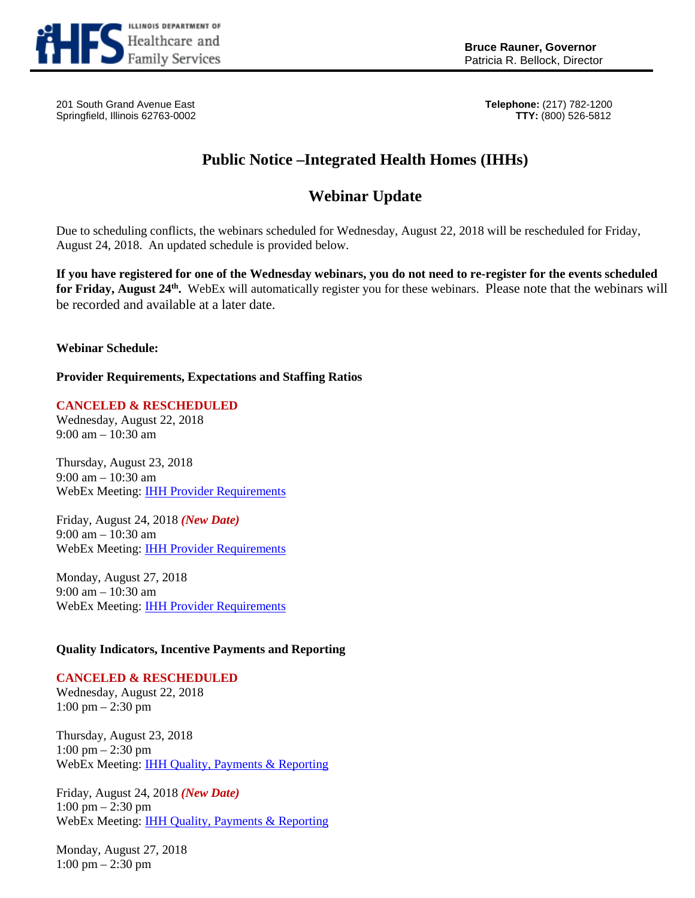

Patricia R. Bellock, Director

201 South Grand Avenue East **Telephone:** (217) 782-1200 Springfield, Illinois 62763-0002 **TTY:** (800) 526-5812

## **Public Notice –Integrated Health Homes (IHHs)**

## **Webinar Update**

Due to scheduling conflicts, the webinars scheduled for Wednesday, August 22, 2018 will be rescheduled for Friday, August 24, 2018. An updated schedule is provided below.

**If you have registered for one of the Wednesday webinars, you do not need to re-register for the events scheduled for Friday, August 24th.** WebEx will automatically register you for these webinars.Please note that the webinars will be recorded and available at a later date.

**Webinar Schedule:**

**Provider Requirements, Expectations and Staffing Ratios**

**CANCELED & RESCHEDULED** Wednesday, August 22, 2018 9:00 am – 10:30 am

Thursday, August 23, 2018 9:00 am – 10:30 am WebEx Meeting: [IHH Provider Requirements](https://illinois.webex.com/illinois/onstage/g.php?MTID=e57ec9f56f917d568fa0f8f9e924d6f6c)

Friday, August 24, 2018 *(New Date)* 9:00 am – 10:30 am WebEx Meeting: [IHH Provider Requirements](https://illinois.webex.com/illinois/onstage/g.php?MTID=ebfd9c653c5bf70c51552974d5e936615)

Monday, August 27, 2018 9:00 am – 10:30 am WebEx Meeting: [IHH Provider Requirements](https://illinois.webex.com/illinois/onstage/g.php?MTID=e6517abdd3d7d3b89237879a6e5569ccd)

## **Quality Indicators, Incentive Payments and Reporting**

## **CANCELED & RESCHEDULED**

Wednesday, August 22, 2018 1:00 pm – 2:30 pm

Thursday, August 23, 2018 1:00 pm – 2:30 pm WebEx Meeting: [IHH Quality, Payments & Reporting](https://illinois.webex.com/illinois/onstage/g.php?MTID=e410886b594a51b0631a6fbc5fd8857d3)

Friday, August 24, 2018 *(New Date)* 1:00 pm – 2:30 pm WebEx Meeting: [IHH Quality, Payments & Reporting](https://illinois.webex.com/illinois/onstage/g.php?MTID=ed58542cda82a7af1f1684f95874556a7)

Monday, August 27, 2018 1:00 pm – 2:30 pm